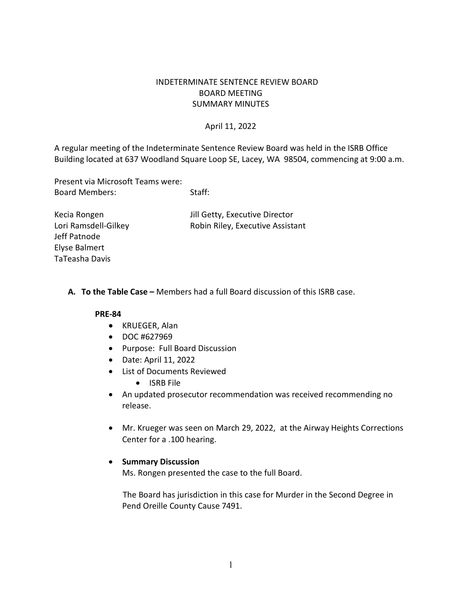# INDETERMINATE SENTENCE REVIEW BOARD BOARD MEETING SUMMARY MINUTES

## April 11, 2022

 Building located at 637 Woodland Square Loop SE, Lacey, WA 98504, commencing at 9:00 a.m. A regular meeting of the Indeterminate Sentence Review Board was held in the ISRB Office

 Present via Microsoft Teams were: Board Members: Staff:

Kecia Rongen Jill Getty, Executive Director Lori Ramsdell-Gilkey Robin Riley, Executive Assistant Jeff Patnode Elyse Balmert TaTeasha Davis

### **A. To the Table Case –** Members had a full Board discussion of this ISRB case.

#### **PRE-84**

- KRUEGER, Alan
- DOC #627969
- Purpose: Full Board Discussion
- Date: April 11, 2022
- List of Documents Reviewed
	- ISRB File
- An updated prosecutor recommendation was received recommending no release.
- • Mr. Krueger was seen on March 29, 2022, at the Airway Heights Corrections Center for a .100 hearing.

## • **Summary Discussion**

Ms. Rongen presented the case to the full Board.

 The Board has jurisdiction in this case for Murder in the Second Degree in Pend Oreille County Cause 7491.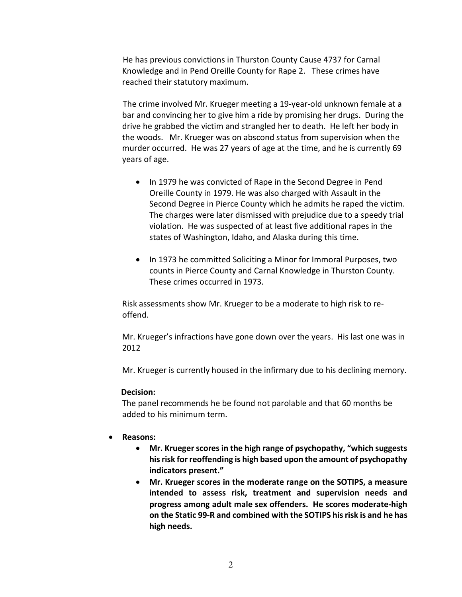Knowledge and in Pend Oreille County for Rape 2. These crimes have He has previous convictions in Thurston County Cause 4737 for Carnal reached their statutory maximum.

 The crime involved Mr. Krueger meeting a 19-year-old unknown female at a bar and convincing her to give him a ride by promising her drugs. During the drive he grabbed the victim and strangled her to death. He left her body in the woods. Mr. Krueger was on abscond status from supervision when the murder occurred. He was 27 years of age at the time, and he is currently 69 years of age.

- Second Degree in Pierce County which he admits he raped the victim. The charges were later dismissed with prejudice due to a speedy trial violation. He was suspected of at least five additional rapes in the states of Washington, Idaho, and Alaska during this time. • In 1979 he was convicted of Rape in the Second Degree in Pend Oreille County in 1979. He was also charged with Assault in the
- counts in Pierce County and Carnal Knowledge in Thurston County. These crimes occurred in 1973. • In 1973 he committed Soliciting a Minor for Immoral Purposes, two

 Risk assessments show Mr. Krueger to be a moderate to high risk to reoffend.

Mr. Krueger's infractions have gone down over the years. His last one was in 2012

Mr. Krueger is currently housed in the infirmary due to his declining memory.

#### **Decision:**

 The panel recommends he be found not parolable and that 60 months be added to his minimum term.

## • **Reasons:**

- **Mr. Krueger scores in the high range of psychopathy, "which suggests his risk for reoffending is high based upon the amount of psychopathy indicators present."**
- **progress among adult male sex offenders. He scores moderate-high**  • **Mr. Krueger scores in the moderate range on the SOTIPS, a measure intended to assess risk, treatment and supervision needs and on the Static 99-R and combined with the SOTIPS his risk is and he has high needs.**